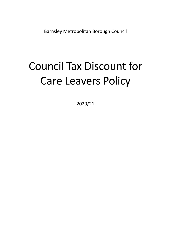Barnsley Metropolitan Borough Council

# Council Tax Discount for Care Leavers Policy

2020/21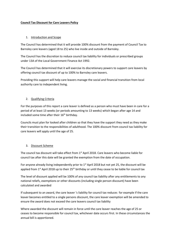#### **Council Tax Discount for Care Leavers Policy**

### 1. Introduction and Scope

The Council has determined that it will provide 100% discount from the payment of Council Tax to Barnsley care leavers (aged 18 to 25) who live inside and outside of Barnsley.

The Council has the discretion to reduce council tax liability for individuals or prescribed groups under 13A of the Local Government Finance Act 1992.

The Council has determined that it will exercise its discretionary powers to support care leavers by offering council tax discount of up to 100% to Barnsley care leavers.

Providing this support will help care leavers manage the social and financial transition from local authority care to independent living.

### 2. Qualifying Criteria

For the purposes of this report a care leaver is defined as a person who must have been in care for a period of at least 13 weeks (or periods amounting to 13 weeks) which began after age 14 and included some time after their  $16<sup>th</sup>$  birthday.

Councils must plan for looked after children so that they have the support they need as they make their transition to the responsibilities of adulthood. The 100% discount from council tax liability for care leavers will apply until the age of 25.

### 3. Discount Scheme

The council tax discount will take effect from 1<sup>st</sup> April 2018. Care leavers who become liable for council tax after this date will be granted the exemption from the date of occupation.

For anyone already living independently prior to 1<sup>st</sup> April 2018 but not yet 25, the discount will be applied from  $1<sup>st</sup>$  April 2018 up to their  $25<sup>th</sup>$  birthday or until they cease to be liable for council tax

The level of discount applied will be 100% of any council tax liability after any entitlements to any national reliefs, exemptions or other discounts (including single person discount) have been calculated and awarded

If subsequent to an award, the care leaver 's liability for council tax reduces for example if the care leaver becomes entitled to a single persons discount, the care leaver exemption will be amended to ensure the award does not exceed the care leavers council tax liability

Where awarded the discount will remain in force until the care leaver reaches the age of 25 or ceases to become responsible for council tax, whichever date occurs first. In these circumstances the annual bill is apportioned.